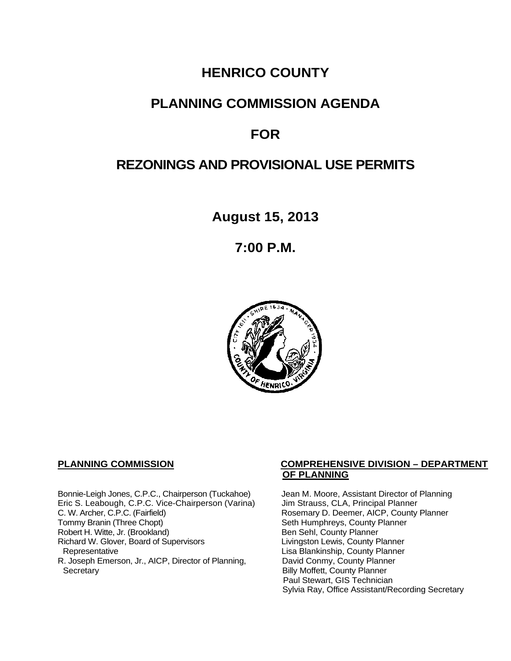## **HENRICO COUNTY**

## **PLANNING COMMISSION AGENDA**

# **FOR**

# **REZONINGS AND PROVISIONAL USE PERMITS**

**August 15, 2013**

**7:00 P.M.**



Bonnie-Leigh Jones, C.P.C., Chairperson (Tuckahoe) Jean M. Moore, Assistant Director of Planning<br>Eric S. Leabough, C.P.C. Vice-Chairperson (Varina) Jim Strauss, CLA, Principal Planner Eric S. Leabough, C.P.C. Vice-Chairperson (Varina)<br>C. W. Archer, C.P.C. (Fairfield) C. W. Archer, C.P.C. (Fairfield) Rosemary D. Deemer, AICP, County Planner<br>
Tommy Branin (Three Chopt) Seth Humphreys, County Planner Robert H. Witte, Jr. (Brookland)<br>
Richard W. Glover, Board of Supervisors<br>
Livingston Lewis, County Planner Richard W. Glover, Board of Supervisors<br>Representative R. Joseph Emerson, Jr., AICP, Director of Planning, Secretary

### **PLANNING COMMISSION COMPREHENSIVE DIVISION – DEPARTMENT OF PLANNING**

Seth Humphreys, County Planner<br>Ben Sehl, County Planner Lisa Blankinship, County Planner<br>David Conmy, County Planner **Billy Moffett, County Planner** Paul Stewart, GIS Technician Sylvia Ray, Office Assistant/Recording Secretary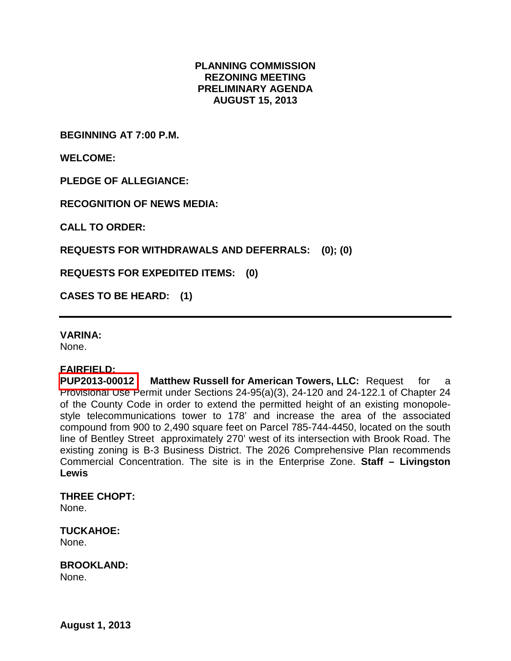### **PLANNING COMMISSION REZONING MEETING PRELIMINARY AGENDA AUGUST 15, 2013**

**BEGINNING AT 7:00 P.M.**

**WELCOME:**

**PLEDGE OF ALLEGIANCE:**

**RECOGNITION OF NEWS MEDIA:**

**CALL TO ORDER:**

**REQUESTS FOR WITHDRAWALS AND DEFERRALS: (0); (0)**

**REQUESTS FOR EXPEDITED ITEMS: (0)**

**CASES TO BE HEARD: (1)**

#### **VARINA:**

None.

**FAIRFIELD: Matthew Russell for American Towers, LLC: Request for a** Provisional Use Permit under Sections 24-95(a)(3), 24-120 and 24-122.1 of Chapter 24 of the County Code in order to extend the permitted height of an existing monopolestyle telecommunications tower to 178' and increase the area of the associated compound from 900 to 2,490 square feet on Parcel 785-744-4450, located on the south line of Bentley Street approximately 270' west of its intersection with Brook Road. The existing zoning is B-3 Business District. The 2026 Comprehensive Plan recommends Commercial Concentration. The site is in the Enterprise Zone. **Staff – Livingston Lewis**

**THREE CHOPT:**

None.

**TUCKAHOE:** None.

**BROOKLAND:** None.